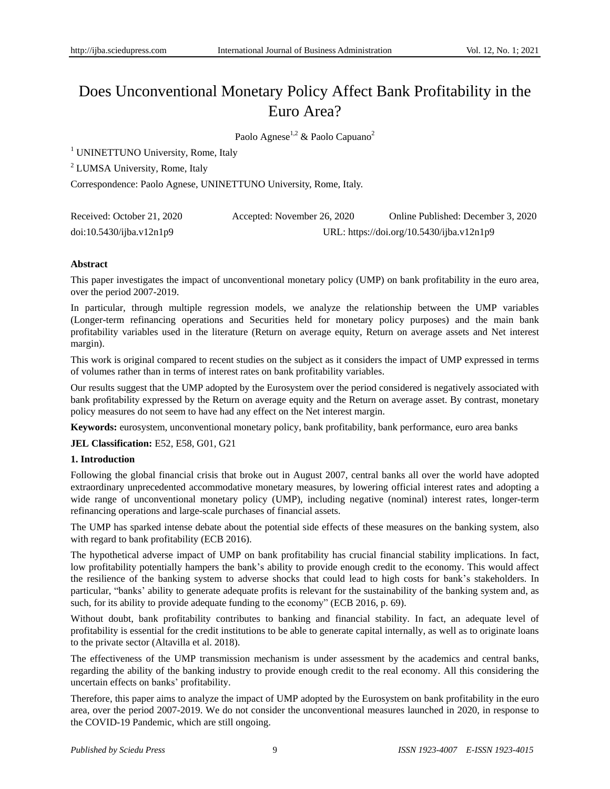# Does Unconventional Monetary Policy Affect Bank Profitability in the Euro Area?

Paolo Agnese<sup>1,2</sup> & Paolo Capuano<sup>2</sup>

<sup>1</sup> UNINETTUNO University, Rome, Italy

<sup>2</sup> LUMSA University, Rome, Italy

Correspondence: Paolo Agnese, UNINETTUNO University, Rome, Italy.

| Received: October 21, 2020 | Accepted: November 26, 2020 | Online Published: December 3, 2020        |
|----------------------------|-----------------------------|-------------------------------------------|
| doi:10.5430/ijba.v12n1p9   |                             | URL: https://doi.org/10.5430/ijba.v12n1p9 |

# **Abstract**

This paper investigates the impact of unconventional monetary policy (UMP) on bank profitability in the euro area, over the period 2007-2019.

In particular, through multiple regression models, we analyze the relationship between the UMP variables (Longer-term refinancing operations and Securities held for monetary policy purposes) and the main bank profitability variables used in the literature (Return on average equity, Return on average assets and Net interest margin).

This work is original compared to recent studies on the subject as it considers the impact of UMP expressed in terms of volumes rather than in terms of interest rates on bank profitability variables.

Our results suggest that the UMP adopted by the Eurosystem over the period considered is negatively associated with bank profitability expressed by the Return on average equity and the Return on average asset. By contrast, monetary policy measures do not seem to have had any effect on the Net interest margin.

**Keywords:** eurosystem, unconventional monetary policy, bank profitability, bank performance, euro area banks

**JEL Classification:** E52, E58, G01, G21

# **1. Introduction**

Following the global financial crisis that broke out in August 2007, central banks all over the world have adopted extraordinary unprecedented accommodative monetary measures, by lowering official interest rates and adopting a wide range of unconventional monetary policy (UMP), including negative (nominal) interest rates, longer-term refinancing operations and large-scale purchases of financial assets.

The UMP has sparked intense debate about the potential side effects of these measures on the banking system, also with regard to bank profitability (ECB 2016).

The hypothetical adverse impact of UMP on bank profitability has crucial financial stability implications. In fact, low profitability potentially hampers the bank's ability to provide enough credit to the economy. This would affect the resilience of the banking system to adverse shocks that could lead to high costs for bank"s stakeholders. In particular, "banks" ability to generate adequate profits is relevant for the sustainability of the banking system and, as such, for its ability to provide adequate funding to the economy" (ECB 2016, p. 69).

Without doubt, bank profitability contributes to banking and financial stability. In fact, an adequate level of profitability is essential for the credit institutions to be able to generate capital internally, as well as to originate loans to the private sector (Altavilla et al. 2018).

The effectiveness of the UMP transmission mechanism is under assessment by the academics and central banks, regarding the ability of the banking industry to provide enough credit to the real economy. All this considering the uncertain effects on banks" profitability.

Therefore, this paper aims to analyze the impact of UMP adopted by the Eurosystem on bank profitability in the euro area, over the period 2007-2019. We do not consider the unconventional measures launched in 2020, in response to the COVID-19 Pandemic, which are still ongoing.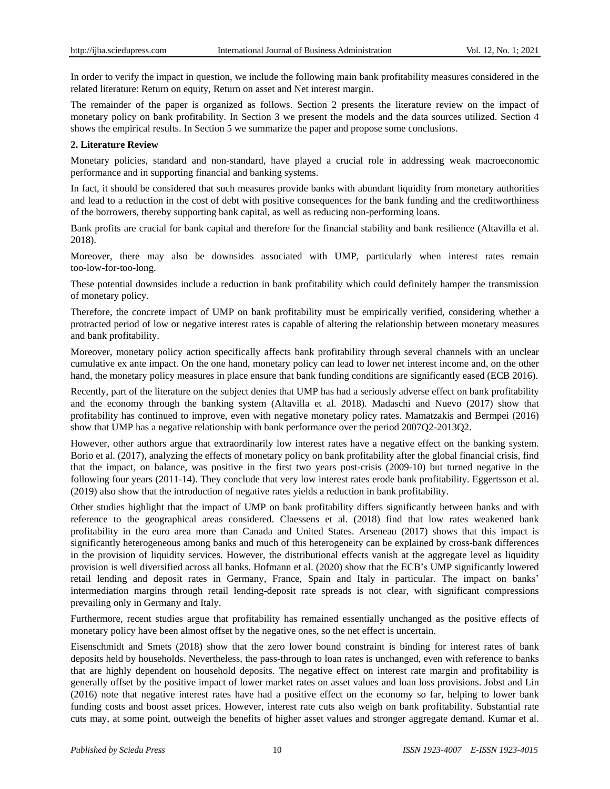In order to verify the impact in question, we include the following main bank profitability measures considered in the related literature: Return on equity, Return on asset and Net interest margin.

The remainder of the paper is organized as follows. Section 2 presents the literature review on the impact of monetary policy on bank profitability. In Section 3 we present the models and the data sources utilized. Section 4 shows the empirical results. In Section 5 we summarize the paper and propose some conclusions.

# **2. Literature Review**

Monetary policies, standard and non-standard, have played a crucial role in addressing weak macroeconomic performance and in supporting financial and banking systems.

In fact, it should be considered that such measures provide banks with abundant liquidity from monetary authorities and lead to a reduction in the cost of debt with positive consequences for the bank funding and the creditworthiness of the borrowers, thereby supporting bank capital, as well as reducing non-performing loans.

Bank profits are crucial for bank capital and therefore for the financial stability and bank resilience (Altavilla et al. 2018).

Moreover, there may also be downsides associated with UMP, particularly when interest rates remain too-low-for-too-long.

These potential downsides include a reduction in bank profitability which could definitely hamper the transmission of monetary policy.

Therefore, the concrete impact of UMP on bank profitability must be empirically verified, considering whether a protracted period of low or negative interest rates is capable of altering the relationship between monetary measures and bank profitability.

Moreover, monetary policy action specifically affects bank profitability through several channels with an unclear cumulative ex ante impact. On the one hand, monetary policy can lead to lower net interest income and, on the other hand, the monetary policy measures in place ensure that bank funding conditions are significantly eased (ECB 2016).

Recently, part of the literature on the subject denies that UMP has had a seriously adverse effect on bank profitability and the economy through the banking system (Altavilla et al. 2018). Madaschi and Nuevo (2017) show that profitability has continued to improve, even with negative monetary policy rates. Mamatzakis and Bermpei (2016) show that UMP has a negative relationship with bank performance over the period 2007Q2-2013Q2.

However, other authors argue that extraordinarily low interest rates have a negative effect on the banking system. Borio et al. (2017), analyzing the effects of monetary policy on bank profitability after the global financial crisis, find that the impact, on balance, was positive in the first two years post-crisis (2009-10) but turned negative in the following four years (2011-14). They conclude that very low interest rates erode bank profitability. Eggertsson et al. (2019) also show that the introduction of negative rates yields a reduction in bank profitability.

Other studies highlight that the impact of UMP on bank profitability differs significantly between banks and with reference to the geographical areas considered. Claessens et al. (2018) find that low rates weakened bank profitability in the euro area more than Canada and United States. Arseneau (2017) shows that this impact is significantly heterogeneous among banks and much of this heterogeneity can be explained by cross-bank differences in the provision of liquidity services. However, the distributional effects vanish at the aggregate level as liquidity provision is well diversified across all banks. Hofmann et al. (2020) show that the ECB"s UMP significantly lowered retail lending and deposit rates in Germany, France, Spain and Italy in particular. The impact on banks" intermediation margins through retail lending-deposit rate spreads is not clear, with significant compressions prevailing only in Germany and Italy.

Furthermore, recent studies argue that profitability has remained essentially unchanged as the positive effects of monetary policy have been almost offset by the negative ones, so the net effect is uncertain.

Eisenschmidt and Smets (2018) show that the zero lower bound constraint is binding for interest rates of bank deposits held by households. Nevertheless, the pass-through to loan rates is unchanged, even with reference to banks that are highly dependent on household deposits. The negative effect on interest rate margin and profitability is generally offset by the positive impact of lower market rates on asset values and loan loss provisions. Jobst and Lin (2016) note that negative interest rates have had a positive effect on the economy so far, helping to lower bank funding costs and boost asset prices. However, interest rate cuts also weigh on bank profitability. Substantial rate cuts may, at some point, outweigh the benefits of higher asset values and stronger aggregate demand. Kumar et al.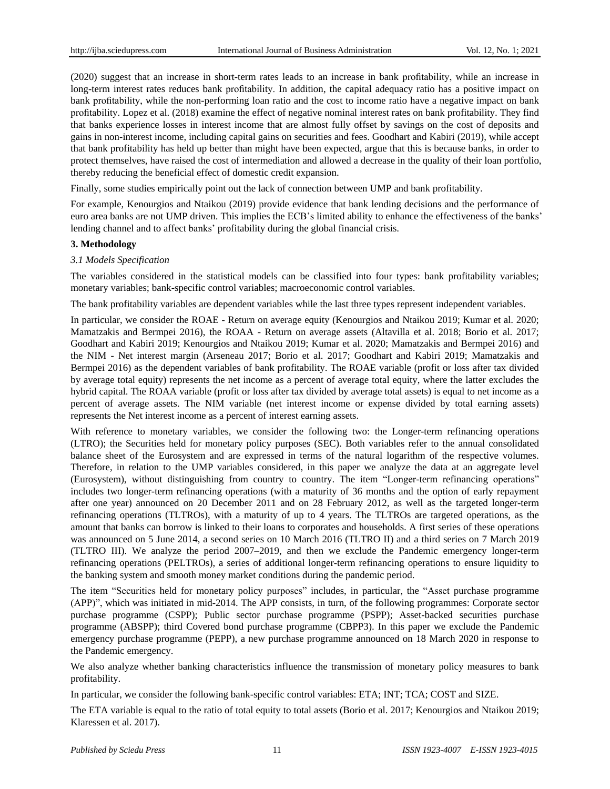(2020) suggest that an increase in short-term rates leads to an increase in bank profitability, while an increase in long-term interest rates reduces bank profitability. In addition, the capital adequacy ratio has a positive impact on bank profitability, while the non-performing loan ratio and the cost to income ratio have a negative impact on bank profitability. Lopez et al. (2018) examine the effect of negative nominal interest rates on bank profitability. They find that banks experience losses in interest income that are almost fully offset by savings on the cost of deposits and gains in non-interest income, including capital gains on securities and fees. Goodhart and Kabiri (2019), while accept that bank profitability has held up better than might have been expected, argue that this is because banks, in order to protect themselves, have raised the cost of intermediation and allowed a decrease in the quality of their loan portfolio, thereby reducing the beneficial effect of domestic credit expansion.

Finally, some studies empirically point out the lack of connection between UMP and bank profitability.

For example, Kenourgios and Ntaikou (2019) provide evidence that bank lending decisions and the performance of euro area banks are not UMP driven. This implies the ECB"s limited ability to enhance the effectiveness of the banks" lending channel and to affect banks' profitability during the global financial crisis.

## **3. Methodology**

# *3.1 Models Specification*

The variables considered in the statistical models can be classified into four types: bank profitability variables; monetary variables; bank-specific control variables; macroeconomic control variables.

The bank profitability variables are dependent variables while the last three types represent independent variables.

In particular, we consider the ROAE - Return on average equity (Kenourgios and Ntaikou 2019; Kumar et al. 2020; Mamatzakis and Bermpei 2016), the ROAA - Return on average assets (Altavilla et al. 2018; Borio et al. 2017; Goodhart and Kabiri 2019; Kenourgios and Ntaikou 2019; Kumar et al. 2020; Mamatzakis and Bermpei 2016) and the NIM - Net interest margin (Arseneau 2017; Borio et al. 2017; Goodhart and Kabiri 2019; Mamatzakis and Bermpei 2016) as the dependent variables of bank profitability. The ROAE variable (profit or loss after tax divided by average total equity) represents the net income as a percent of average total equity, where the latter excludes the hybrid capital. The ROAA variable (profit or loss after tax divided by average total assets) is equal to net income as a percent of average assets. The NIM variable (net interest income or expense divided by total earning assets) represents the Net interest income as a percent of interest earning assets.

With reference to monetary variables, we consider the following two: the Longer-term refinancing operations (LTRO); the Securities held for monetary policy purposes (SEC). Both variables refer to the annual consolidated balance sheet of the Eurosystem and are expressed in terms of the natural logarithm of the respective volumes. Therefore, in relation to the UMP variables considered, in this paper we analyze the data at an aggregate level (Eurosystem), without distinguishing from country to country. The item "Longer-term refinancing operations" includes two longer-term refinancing operations (with a maturity of 36 months and the option of early repayment after one year) announced on 20 December 2011 and on 28 February 2012, as well as the targeted longer-term refinancing operations (TLTROs), with a maturity of up to 4 years. The TLTROs are targeted operations, as the amount that banks can borrow is linked to their loans to corporates and households. A first series of these operations was announced on 5 June 2014, a second series on 10 March 2016 (TLTRO II) and a third series on 7 March 2019 (TLTRO III). We analyze the period 2007–2019, and then we exclude the Pandemic emergency longer-term refinancing operations (PELTROs), a series of additional longer-term refinancing operations to ensure liquidity to the banking system and smooth money market conditions during the pandemic period.

The item "Securities held for monetary policy purposes" includes, in particular, the "Asset purchase programme (APP)", which was initiated in mid-2014. The APP consists, in turn, of the following programmes: Corporate sector purchase programme (CSPP); Public sector purchase programme (PSPP); Asset-backed securities purchase programme (ABSPP); third Covered bond purchase programme (CBPP3). In this paper we exclude the Pandemic emergency purchase programme (PEPP), a new purchase programme announced on 18 March 2020 in response to the Pandemic emergency.

We also analyze whether banking characteristics influence the transmission of monetary policy measures to bank profitability.

In particular, we consider the following bank-specific control variables: ETA; INT; TCA; COST and SIZE.

The ETA variable is equal to the ratio of total equity to total assets (Borio et al. 2017; Kenourgios and Ntaikou 2019; Klaressen et al. 2017).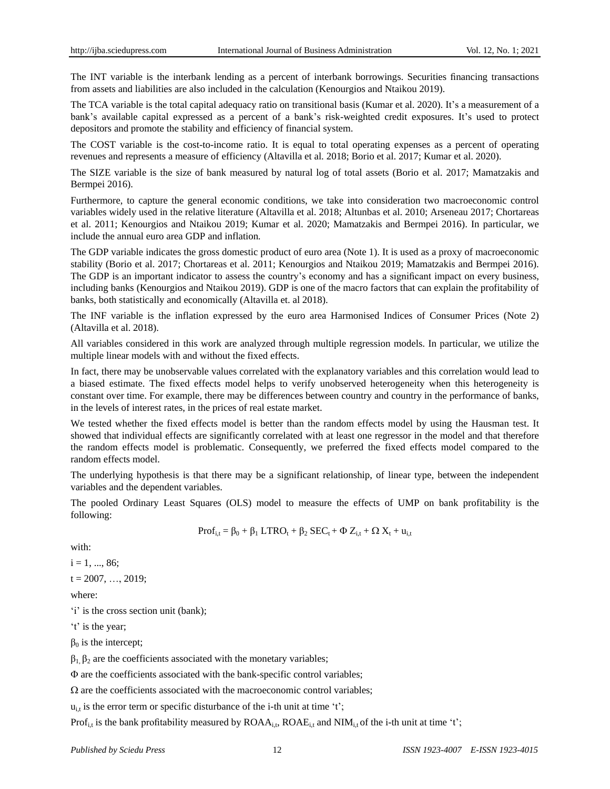The INT variable is the interbank lending as a percent of interbank borrowings. Securities financing transactions from assets and liabilities are also included in the calculation (Kenourgios and Ntaikou 2019).

The TCA variable is the total capital adequacy ratio on transitional basis (Kumar et al. 2020). It's a measurement of a bank's available capital expressed as a percent of a bank's risk-weighted credit exposures. It's used to protect depositors and promote the stability and efficiency of financial system.

The COST variable is the cost-to-income ratio. It is equal to total operating expenses as a percent of operating revenues and represents a measure of efficiency (Altavilla et al. 2018; Borio et al. 2017; Kumar et al. 2020).

The SIZE variable is the size of bank measured by natural log of total assets (Borio et al. 2017; Mamatzakis and Bermpei 2016).

Furthermore, to capture the general economic conditions, we take into consideration two macroeconomic control variables widely used in the relative literature (Altavilla et al. 2018; Altunbas et al. 2010; Arseneau 2017; Chortareas et al. 2011; Kenourgios and Ntaikou 2019; Kumar et al. 2020; Mamatzakis and Bermpei 2016). In particular, we include the annual euro area GDP and inflation*.*

The GDP variable indicates the gross domestic product of euro area (Note 1). It is used as a proxy of macroeconomic stability (Borio et al. 2017; Chortareas et al. 2011; Kenourgios and Ntaikou 2019; Mamatzakis and Bermpei 2016). The GDP is an important indicator to assess the country's economy and has a significant impact on every business, including banks (Kenourgios and Ntaikou 2019). GDP is one of the macro factors that can explain the profitability of banks, both statistically and economically (Altavilla et. al 2018).

The INF variable is the inflation expressed by the euro area Harmonised Indices of Consumer Prices (Note 2) (Altavilla et al. 2018).

All variables considered in this work are analyzed through multiple regression models. In particular, we utilize the multiple linear models with and without the fixed effects.

In fact, there may be unobservable values correlated with the explanatory variables and this correlation would lead to a biased estimate. The fixed effects model helps to verify unobserved heterogeneity when this heterogeneity is constant over time. For example, there may be differences between country and country in the performance of banks, in the levels of interest rates, in the prices of real estate market.

We tested whether the fixed effects model is better than the random effects model by using the Hausman test. It showed that individual effects are significantly correlated with at least one regressor in the model and that therefore the random effects model is problematic. Consequently, we preferred the fixed effects model compared to the random effects model.

The underlying hypothesis is that there may be a significant relationship, of linear type, between the independent variables and the dependent variables.

The pooled Ordinary Least Squares (OLS) model to measure the effects of UMP on bank profitability is the following:

$$
Prof_{i,t} = \beta_0 + \beta_1 \ LTRO_t + \beta_2 \ SEC_t + \Phi \ Z_{i,t} + \Omega \ X_t + u_{i,t}
$$

with:

 $i = 1, ..., 86;$ 

 $t = 2007, \ldots, 2019;$ 

where:

'i' is the cross section unit (bank);

't' is the year;

 $β<sub>0</sub>$  is the intercept;

 $β<sub>1</sub>, β<sub>2</sub>$  are the coefficients associated with the monetary variables;

 $\Phi$  are the coefficients associated with the bank-specific control variables;

 $\Omega$  are the coefficients associated with the macroeconomic control variables;

 $u_{i,t}$  is the error term or specific disturbance of the i-th unit at time 't';

Prof<sub>i,t</sub> is the bank profitability measured by  $ROAA_{i,t}$ ,  $ROAE_{i,t}$  and  $NIM_{i,t}$  of the i-th unit at time 't';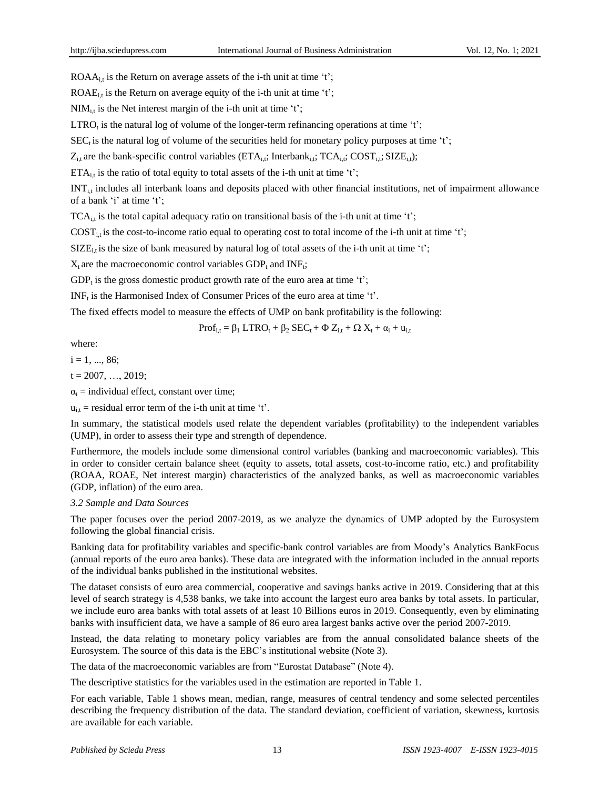ROA $A_{i,t}$  is the Return on average assets of the i-th unit at time 't';

ROAE<sub>it</sub> is the Return on average equity of the i-th unit at time 't';

 $NIM<sub>i,t</sub>$  is the Net interest margin of the i-th unit at time 't';

 $LTRO<sub>t</sub>$  is the natural log of volume of the longer-term refinancing operations at time 't';

 $\text{SEC}_t$  is the natural log of volume of the securities held for monetary policy purposes at time 't';

 $Z_{i,t}$  are the bank-specific control variables ( $ETA_{i,t}$ ; Interbank<sub>i,t</sub>;  $TCA_{i,t}$ ;  $COST_{i,t}$ ;  $SIZE_{i,t}$ );

 $ETA_{i,t}$  is the ratio of total equity to total assets of the i-th unit at time 't';

 $INT_{i,t}$  includes all interbank loans and deposits placed with other financial institutions, net of impairment allowance of a bank 'i' at time 't';

 $TCA_i$ , is the total capital adequacy ratio on transitional basis of the i-th unit at time 't';

 $\text{COST}_{i,t}$  is the cost-to-income ratio equal to operating cost to total income of the i-th unit at time 't';

 $SIZE_{i,t}$  is the size of bank measured by natural log of total assets of the i-th unit at time 't';

 $X_t$  are the macroeconomic control variables  $GDP_t$  and INF<sub>t</sub>;

GDP<sub>t</sub> is the gross domestic product growth rate of the euro area at time 't';

 $INF<sub>t</sub>$  is the Harmonised Index of Consumer Prices of the euro area at time 't'.

The fixed effects model to measure the effects of UMP on bank profitability is the following:

$$
Prof_{i,t} = \beta_1 \ LTRO_t + \beta_2 \ SEC_t + \Phi \ Z_{i,t} + \Omega \ X_t + \alpha_i + u_{i,t}
$$

where:

 $i = 1, ..., 86;$ 

 $t = 2007, \ldots, 2019;$ 

 $\alpha_i$  = individual effect, constant over time;

 $u_{i,t}$  = residual error term of the i-th unit at time 't'.

In summary, the statistical models used relate the dependent variables (profitability) to the independent variables (UMP), in order to assess their type and strength of dependence.

Furthermore, the models include some dimensional control variables (banking and macroeconomic variables). This in order to consider certain balance sheet (equity to assets, total assets, cost-to-income ratio, etc.) and profitability (ROAA, ROAE, Net interest margin) characteristics of the analyzed banks, as well as macroeconomic variables (GDP, inflation) of the euro area.

## *3.2 Sample and Data Sources*

The paper focuses over the period 2007-2019, as we analyze the dynamics of UMP adopted by the Eurosystem following the global financial crisis.

Banking data for profitability variables and specific-bank control variables are from Moody"s Analytics BankFocus (annual reports of the euro area banks). These data are integrated with the information included in the annual reports of the individual banks published in the institutional websites.

The dataset consists of euro area commercial, cooperative and savings banks active in 2019. Considering that at this level of search strategy is 4,538 banks, we take into account the largest euro area banks by total assets. In particular, we include euro area banks with total assets of at least 10 Billions euros in 2019. Consequently, even by eliminating banks with insufficient data, we have a sample of 86 euro area largest banks active over the period 2007-2019.

Instead, the data relating to monetary policy variables are from the annual consolidated balance sheets of the Eurosystem. The source of this data is the EBC"s institutional website (Note 3).

The data of the macroeconomic variables are from "Eurostat Database" (Note 4).

The descriptive statistics for the variables used in the estimation are reported in Table 1.

For each variable, Table 1 shows mean, median, range, measures of central tendency and some selected percentiles describing the frequency distribution of the data. The standard deviation, coefficient of variation, skewness, kurtosis are available for each variable.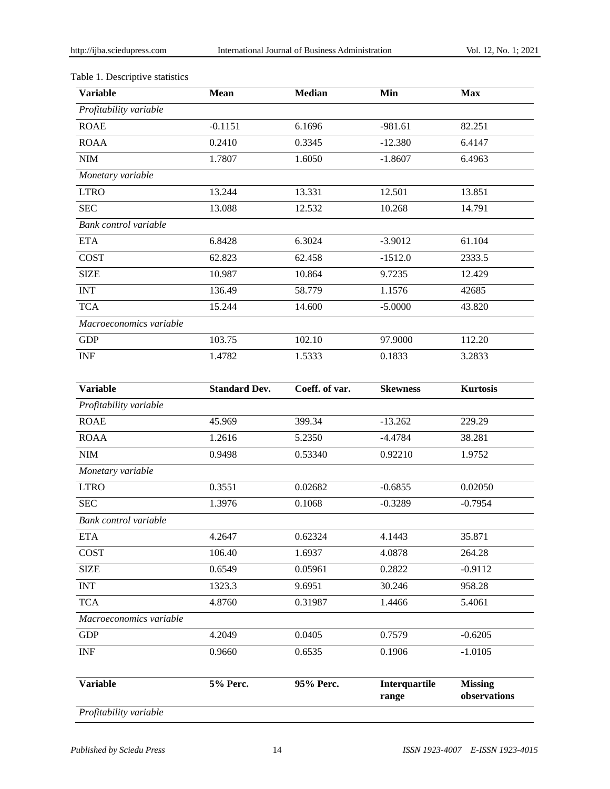# Table 1. Descriptive statistics

| <b>Variable</b>                  | <b>Mean</b>          | <b>Median</b>  | Min                    | <b>Max</b>                     |
|----------------------------------|----------------------|----------------|------------------------|--------------------------------|
| Profitability variable           |                      |                |                        |                                |
| <b>ROAE</b>                      | $-0.1151$            | 6.1696         | $-981.61$              | 82.251                         |
| <b>ROAA</b>                      | 0.2410               | 0.3345         | $-12.380$              | 6.4147                         |
| $NIM$                            | 1.7807               | 1.6050         | $-1.8607$              | 6.4963                         |
| Monetary variable                |                      |                |                        |                                |
| <b>LTRO</b>                      | 13.244               | 13.331         | 12.501                 | 13.851                         |
| <b>SEC</b>                       | 13.088               | 12.532         | 10.268                 | 14.791                         |
| Bank control variable            |                      |                |                        |                                |
| <b>ETA</b>                       | 6.8428               | 6.3024         | $-3.9012$              | 61.104                         |
| <b>COST</b>                      | 62.823               | 62.458         | $-1512.0$              | 2333.5                         |
| <b>SIZE</b>                      | 10.987               | 10.864         | 9.7235                 | 12.429                         |
| <b>INT</b>                       | 136.49               | 58.779         | 1.1576                 | 42685                          |
| <b>TCA</b>                       | 15.244               | 14.600         | $-5.0000$              | 43.820                         |
| Macroeconomics variable          |                      |                |                        |                                |
| <b>GDP</b>                       | 103.75               | 102.10         | 97.9000                | 112.20                         |
| <b>INF</b>                       | 1.4782               | 1.5333         | 0.1833                 | 3.2833                         |
|                                  |                      |                |                        |                                |
| <b>Variable</b>                  | <b>Standard Dev.</b> | Coeff. of var. | <b>Skewness</b>        | <b>Kurtosis</b>                |
| Profitability variable           |                      |                |                        |                                |
| <b>ROAE</b>                      | 45.969               | 399.34         | $-13.262$              | 229.29                         |
| <b>ROAA</b>                      | 1.2616               | 5.2350         | $-4.4784$              | 38.281                         |
| $\text{NIM}{}$                   | 0.9498               | 0.53340        | 0.92210                | 1.9752                         |
| Monetary variable                |                      |                |                        |                                |
| <b>LTRO</b>                      | 0.3551               | 0.02682        | $-0.6855$              | 0.02050                        |
| <b>SEC</b>                       | 1.3976               | 0.1068         | $-0.3289$              | $-0.7954$                      |
| Bank control variable            |                      |                |                        |                                |
| ETA                              | 4.2647               | 0.62324        | 4.1443                 | 35.871                         |
| COST                             | 106.40               | 1.6937         | 4.0878                 | 264.28                         |
| <b>SIZE</b>                      | 0.6549               | 0.05961        | 0.2822                 | $-0.9112$                      |
| <b>INT</b>                       | 1323.3               | 9.6951         | 30.246                 | 958.28                         |
| <b>TCA</b>                       | 4.8760               | 0.31987        | 1.4466                 | 5.4061                         |
| Macroeconomics variable          |                      |                |                        |                                |
| <b>GDP</b>                       | 4.2049               | 0.0405         | 0.7579                 | $-0.6205$                      |
| $\ensuremath{\text{INF}}\xspace$ | 0.9660               | 0.6535         | 0.1906                 | $-1.0105$                      |
| <b>Variable</b>                  | 5% Perc.             | 95% Perc.      | Interquartile<br>range | <b>Missing</b><br>observations |
| Profitability variable           |                      |                |                        |                                |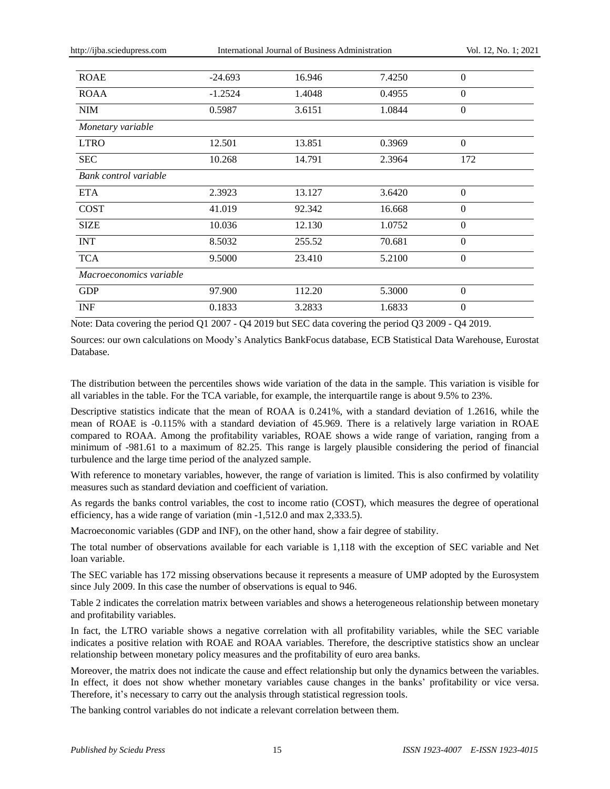http://ijba.sciedupress.com International Journal of Business Administration Vol. 12, No. 1; 2021

| <b>ROAE</b>             | $-24.693$ | 16.946 | 7.4250 | $\overline{0}$ |  |
|-------------------------|-----------|--------|--------|----------------|--|
| <b>ROAA</b>             | $-1.2524$ | 1.4048 | 0.4955 | $\Omega$       |  |
| NIM                     | 0.5987    | 3.6151 | 1.0844 | $\theta$       |  |
| Monetary variable       |           |        |        |                |  |
| <b>LTRO</b>             | 12.501    | 13.851 | 0.3969 | $\Omega$       |  |
| <b>SEC</b>              | 10.268    | 14.791 | 2.3964 | 172            |  |
| Bank control variable   |           |        |        |                |  |
| <b>ETA</b>              | 2.3923    | 13.127 | 3.6420 | $\theta$       |  |
| <b>COST</b>             | 41.019    | 92.342 | 16.668 | $\theta$       |  |
| <b>SIZE</b>             | 10.036    | 12.130 | 1.0752 | $\theta$       |  |
| <b>INT</b>              | 8.5032    | 255.52 | 70.681 | $\Omega$       |  |
| <b>TCA</b>              | 9.5000    | 23.410 | 5.2100 | $\Omega$       |  |
| Macroeconomics variable |           |        |        |                |  |
| <b>GDP</b>              | 97.900    | 112.20 | 5.3000 | $\theta$       |  |
| <b>INF</b>              | 0.1833    | 3.2833 | 1.6833 | $\Omega$       |  |

Note: Data covering the period Q1 2007 - Q4 2019 but SEC data covering the period Q3 2009 - Q4 2019.

Sources: our own calculations on Moody"s Analytics BankFocus database, ECB Statistical Data Warehouse, Eurostat Database.

The distribution between the percentiles shows wide variation of the data in the sample. This variation is visible for all variables in the table. For the TCA variable, for example, the interquartile range is about 9.5% to 23%.

Descriptive statistics indicate that the mean of ROAA is 0.241%, with a standard deviation of 1.2616, while the mean of ROAE is -0.115% with a standard deviation of 45.969. There is a relatively large variation in ROAE compared to ROAA. Among the profitability variables, ROAE shows a wide range of variation, ranging from a minimum of -981.61 to a maximum of 82.25. This range is largely plausible considering the period of financial turbulence and the large time period of the analyzed sample.

With reference to monetary variables, however, the range of variation is limited. This is also confirmed by volatility measures such as standard deviation and coefficient of variation.

As regards the banks control variables, the cost to income ratio (COST), which measures the degree of operational efficiency, has a wide range of variation (min -1,512.0 and max 2,333.5).

Macroeconomic variables (GDP and INF), on the other hand, show a fair degree of stability.

The total number of observations available for each variable is 1,118 with the exception of SEC variable and Net loan variable.

The SEC variable has 172 missing observations because it represents a measure of UMP adopted by the Eurosystem since July 2009. In this case the number of observations is equal to 946.

Table 2 indicates the correlation matrix between variables and shows a heterogeneous relationship between monetary and profitability variables.

In fact, the LTRO variable shows a negative correlation with all profitability variables, while the SEC variable indicates a positive relation with ROAE and ROAA variables. Therefore, the descriptive statistics show an unclear relationship between monetary policy measures and the profitability of euro area banks.

Moreover, the matrix does not indicate the cause and effect relationship but only the dynamics between the variables. In effect, it does not show whether monetary variables cause changes in the banks' profitability or vice versa. Therefore, it's necessary to carry out the analysis through statistical regression tools.

The banking control variables do not indicate a relevant correlation between them.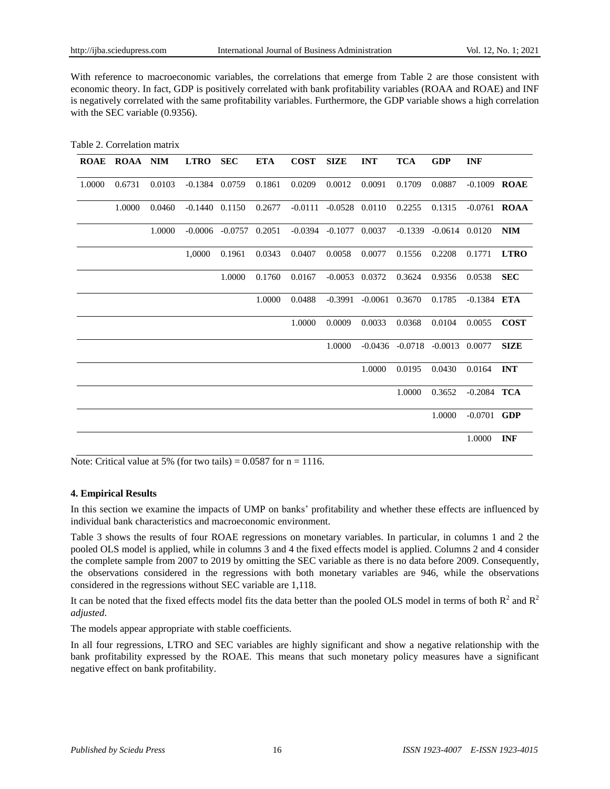With reference to macroeconomic variables, the correlations that emerge from Table 2 are those consistent with economic theory. In fact, GDP is positively correlated with bank profitability variables (ROAA and ROAE) and INF is negatively correlated with the same profitability variables. Furthermore, the GDP variable shows a high correlation with the SEC variable (0.9356).

| Table 2. Correlation matrix |  |
|-----------------------------|--|
|-----------------------------|--|

| <b>ROAE</b> | <b>ROAA</b> NIM |        | <b>LTRO</b>        | <b>SEC</b>                 | <b>ETA</b> | <b>COST</b> | <b>SIZE</b>                  | <b>INT</b>       | <b>TCA</b>                             | <b>GDP</b>                   | <b>INF</b>     |                |
|-------------|-----------------|--------|--------------------|----------------------------|------------|-------------|------------------------------|------------------|----------------------------------------|------------------------------|----------------|----------------|
| 1.0000      | 0.6731          | 0.0103 | $-0.1384$ 0.0759   |                            | 0.1861     | 0.0209      | 0.0012                       | 0.0091           | 0.1709                                 | 0.0887                       | $-0.1009$ ROAE |                |
|             | 1.0000          | 0.0460 | $-0.1440$ $0.1150$ |                            | 0.2677     |             | $-0.0111 - 0.0528$ 0.0110    |                  | 0.2255                                 | 0.1315                       |                | $-0.0761$ ROAA |
|             |                 | 1.0000 |                    | $-0.0006$ $-0.0757$ 0.2051 |            |             | $-0.0394$ $-0.1077$ $0.0037$ |                  |                                        | $-0.1339$ $-0.0614$ $0.0120$ |                | <b>NIM</b>     |
|             |                 |        | 1,0000             | 0.1961                     | 0.0343     | 0.0407      | 0.0058                       | 0.0077           | 0.1556                                 | 0.2208                       | 0.1771         | <b>LTRO</b>    |
|             |                 |        |                    | 1.0000                     | 0.1760     | 0.0167      | $-0.0053$ 0.0372             |                  | 0.3624                                 | 0.9356                       | 0.0538         | <b>SEC</b>     |
|             |                 |        |                    |                            | 1.0000     | 0.0488      | $-0.3991$                    | $-0.0061$ 0.3670 |                                        | 0.1785                       | $-0.1384$ ETA  |                |
|             |                 |        |                    |                            |            | 1.0000      | 0.0009                       | 0.0033           | 0.0368                                 | 0.0104                       | 0.0055         | <b>COST</b>    |
|             |                 |        |                    |                            |            |             | 1.0000                       |                  | $-0.0436$ $-0.0718$ $-0.0013$ $0.0077$ |                              |                | <b>SIZE</b>    |
|             |                 |        |                    |                            |            |             |                              | 1.0000           | 0.0195                                 | 0.0430                       | 0.0164         | <b>INT</b>     |
|             |                 |        |                    |                            |            |             |                              |                  | 1.0000                                 | 0.3652                       | $-0.2084$ TCA  |                |
|             |                 |        |                    |                            |            |             |                              |                  |                                        | 1.0000                       | $-0.0701$ GDP  |                |
|             |                 |        |                    |                            |            |             |                              |                  |                                        |                              | 1.0000         | <b>INF</b>     |

Note: Critical value at 5% (for two tails) =  $0.0587$  for n = 1116.

## **4. Empirical Results**

In this section we examine the impacts of UMP on banks" profitability and whether these effects are influenced by individual bank characteristics and macroeconomic environment.

Table 3 shows the results of four ROAE regressions on monetary variables. In particular, in columns 1 and 2 the pooled OLS model is applied, while in columns 3 and 4 the fixed effects model is applied. Columns 2 and 4 consider the complete sample from 2007 to 2019 by omitting the SEC variable as there is no data before 2009. Consequently, the observations considered in the regressions with both monetary variables are 946, while the observations considered in the regressions without SEC variable are 1,118.

It can be noted that the fixed effects model fits the data better than the pooled OLS model in terms of both  $R^2$  and  $R^2$ *adjusted*.

The models appear appropriate with stable coefficients.

In all four regressions, LTRO and SEC variables are highly significant and show a negative relationship with the bank profitability expressed by the ROAE. This means that such monetary policy measures have a significant negative effect on bank profitability.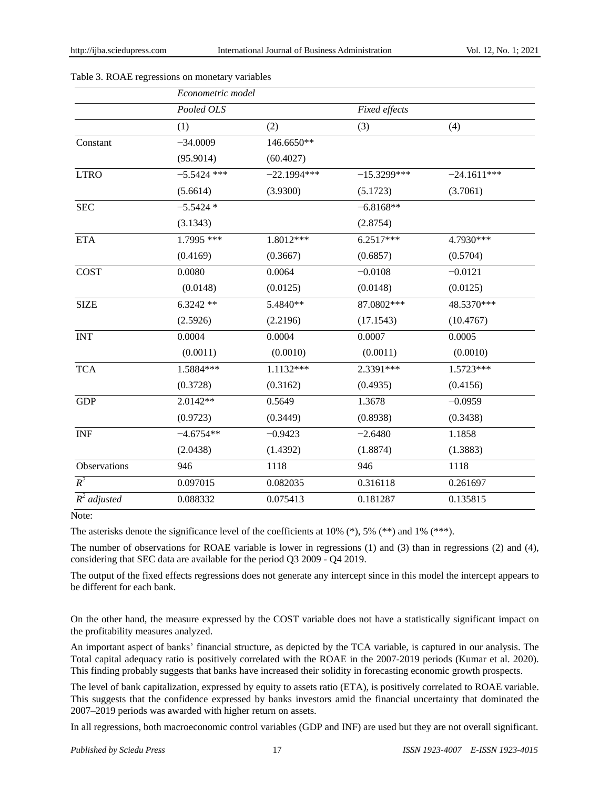|                | Econometric model |               |               |               |
|----------------|-------------------|---------------|---------------|---------------|
|                | Pooled OLS        |               | Fixed effects |               |
|                | (1)               | (2)           | (3)           | (4)           |
| Constant       | $-34.0009$        | 146.6650**    |               |               |
|                | (95.9014)         | (60.4027)     |               |               |
| <b>LTRO</b>    | $-5.5424$ ***     | $-22.1994***$ | $-15.3299***$ | $-24.1611***$ |
|                | (5.6614)          | (3.9300)      | (5.1723)      | (3.7061)      |
| <b>SEC</b>     | $-5.5424*$        |               | $-6.8168**$   |               |
|                | (3.1343)          |               | (2.8754)      |               |
| <b>ETA</b>     | 1.7995 ***        | 1.8012***     | $6.2517***$   | 4.7930***     |
|                | (0.4169)          | (0.3667)      | (0.6857)      | (0.5704)      |
| COST           | 0.0080            | 0.0064        | $-0.0108$     | $-0.0121$     |
|                | (0.0148)          | (0.0125)      | (0.0148)      | (0.0125)      |
| <b>SIZE</b>    | $6.3242**$        | 5.4840**      | 87.0802***    | 48.5370***    |
|                | (2.5926)          | (2.2196)      | (17.1543)     | (10.4767)     |
| <b>INT</b>     | 0.0004            | 0.0004        | 0.0007        | 0.0005        |
|                | (0.0011)          | (0.0010)      | (0.0011)      | (0.0010)      |
| <b>TCA</b>     | 1.5884***         | 1.1132***     | 2.3391***     | 1.5723***     |
|                | (0.3728)          | (0.3162)      | (0.4935)      | (0.4156)      |
| <b>GDP</b>     | $2.0142**$        | 0.5649        | 1.3678        | $-0.0959$     |
|                | (0.9723)          | (0.3449)      | (0.8938)      | (0.3438)      |
| <b>INF</b>     | $-4.6754**$       | $-0.9423$     | $-2.6480$     | 1.1858        |
|                | (2.0438)          | (1.4392)      | (1.8874)      | (1.3883)      |
| Observations   | 946               | 1118          | 946           | 1118          |
| $R^2$          | 0.097015          | 0.082035      | 0.316118      | 0.261697      |
| $R^2$ adjusted | 0.088332          | 0.075413      | 0.181287      | 0.135815      |

Table 3. ROAE regressions on monetary variables

Note:

The asterisks denote the significance level of the coefficients at 10% (\*), 5% (\*\*) and 1% (\*\*\*).

The number of observations for ROAE variable is lower in regressions (1) and (3) than in regressions (2) and (4), considering that SEC data are available for the period Q3 2009 - Q4 2019.

The output of the fixed effects regressions does not generate any intercept since in this model the intercept appears to be different for each bank.

On the other hand, the measure expressed by the COST variable does not have a statistically significant impact on the profitability measures analyzed.

An important aspect of banks" financial structure, as depicted by the TCA variable, is captured in our analysis. The Total capital adequacy ratio is positively correlated with the ROAE in the 2007-2019 periods (Kumar et al. 2020). This finding probably suggests that banks have increased their solidity in forecasting economic growth prospects.

The level of bank capitalization, expressed by equity to assets ratio (ETA), is positively correlated to ROAE variable. This suggests that the confidence expressed by banks investors amid the financial uncertainty that dominated the 2007–2019 periods was awarded with higher return on assets.

In all regressions, both macroeconomic control variables (GDP and INF) are used but they are not overall significant.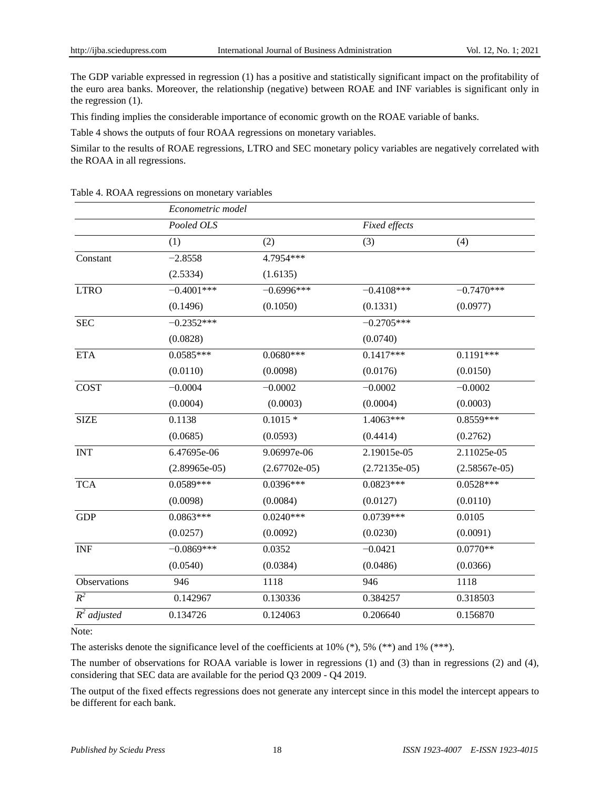The GDP variable expressed in regression (1) has a positive and statistically significant impact on the profitability of the euro area banks. Moreover, the relationship (negative) between ROAE and INF variables is significant only in the regression (1).

This finding implies the considerable importance of economic growth on the ROAE variable of banks.

Table 4 shows the outputs of four ROAA regressions on monetary variables.

Similar to the results of ROAE regressions, LTRO and SEC monetary policy variables are negatively correlated with the ROAA in all regressions.

|                           | Econometric model |                 |                 |                 |
|---------------------------|-------------------|-----------------|-----------------|-----------------|
|                           | Pooled OLS        |                 | Fixed effects   |                 |
|                           | (1)               | (2)             | (3)             | (4)             |
| Constant                  | $-2.8558$         | 4.7954 ***      |                 |                 |
|                           | (2.5334)          | (1.6135)        |                 |                 |
| <b>LTRO</b>               | $-0.4001***$      | $-0.6996***$    | $-0.4108***$    | $-0.7470***$    |
|                           | (0.1496)          | (0.1050)        | (0.1331)        | (0.0977)        |
| <b>SEC</b>                | $-0.2352***$      |                 | $-0.2705***$    |                 |
|                           | (0.0828)          |                 | (0.0740)        |                 |
| <b>ETA</b>                | $0.0585***$       | $0.0680***$     | $0.1417***$     | $0.1191***$     |
|                           | (0.0110)          | (0.0098)        | (0.0176)        | (0.0150)        |
| <b>COST</b>               | $-0.0004$         | $-0.0002$       | $-0.0002$       | $-0.0002$       |
|                           | (0.0004)          | (0.0003)        | (0.0004)        | (0.0003)        |
| <b>SIZE</b>               | 0.1138            | $0.1015*$       | 1.4063***       | $0.8559***$     |
|                           | (0.0685)          | (0.0593)        | (0.4414)        | (0.2762)        |
| <b>INT</b>                | 6.47695e-06       | 9.06997e-06     | 2.19015e-05     | 2.11025e-05     |
|                           | $(2.89965e-05)$   | $(2.67702e-05)$ | $(2.72135e-05)$ | $(2.58567e-05)$ |
| <b>TCA</b>                | $0.0589***$       | 0.0396***       | $0.0823***$     | $0.0528***$     |
|                           | (0.0098)          | (0.0084)        | (0.0127)        | (0.0110)        |
| <b>GDP</b>                | $0.0863***$       | $0.0240***$     | $0.0739***$     | 0.0105          |
|                           | (0.0257)          | (0.0092)        | (0.0230)        | (0.0091)        |
| <b>INF</b>                | $-0.0869***$      | 0.0352          | $-0.0421$       | $0.0770**$      |
|                           | (0.0540)          | (0.0384)        | (0.0486)        | (0.0366)        |
| Observations              | 946               | 1118            | 946             | 1118            |
| $R^2$                     | 0.142967          | 0.130336        | 0.384257        | 0.318503        |
| $\overline{R}^2$ adjusted | 0.134726          | 0.124063        | 0.206640        | 0.156870        |

Table 4. ROAA regressions on monetary variables

Note:

The asterisks denote the significance level of the coefficients at 10% (\*), 5% (\*\*) and 1% (\*\*\*).

The number of observations for ROAA variable is lower in regressions (1) and (3) than in regressions (2) and (4), considering that SEC data are available for the period Q3 2009 - Q4 2019.

The output of the fixed effects regressions does not generate any intercept since in this model the intercept appears to be different for each bank.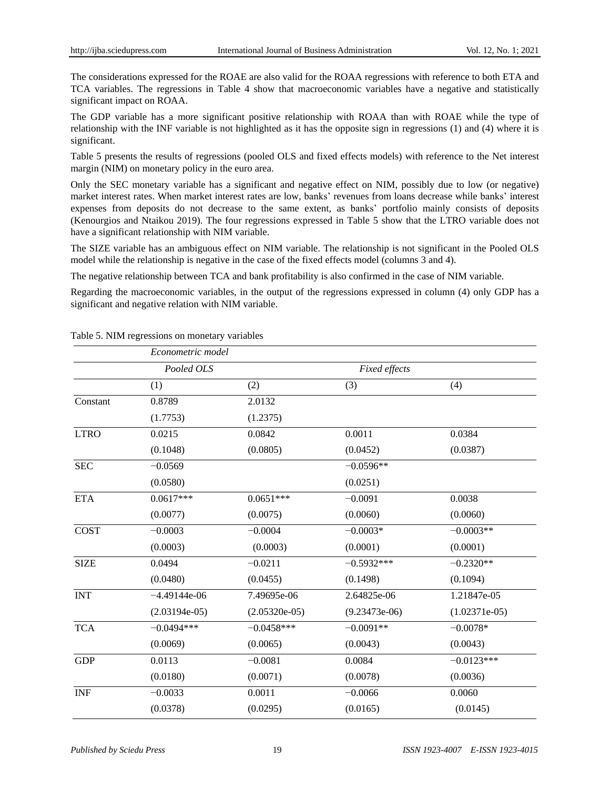The considerations expressed for the ROAE are also valid for the ROAA regressions with reference to both ETA and TCA variables. The regressions in Table 4 show that macroeconomic variables have a negative and statistically significant impact on ROAA.

The GDP variable has a more significant positive relationship with ROAA than with ROAE while the type of relationship with the INF variable is not highlighted as it has the opposite sign in regressions (1) and (4) where it is significant.

Table 5 presents the results of regressions (pooled OLS and fixed effects models) with reference to the Net interest margin (NIM) on monetary policy in the euro area.

Only the SEC monetary variable has a significant and negative effect on NIM, possibly due to low (or negative) market interest rates. When market interest rates are low, banks" revenues from loans decrease while banks" interest expenses from deposits do not decrease to the same extent, as banks" portfolio mainly consists of deposits (Kenourgios and Ntaikou 2019). The four regressions expressed in Table 5 show that the LTRO variable does not have a significant relationship with NIM variable.

The SIZE variable has an ambiguous effect on NIM variable. The relationship is not significant in the Pooled OLS model while the relationship is negative in the case of the fixed effects model (columns 3 and 4).

The negative relationship between TCA and bank profitability is also confirmed in the case of NIM variable.

Regarding the macroeconomic variables, in the output of the regressions expressed in column (4) only GDP has a significant and negative relation with NIM variable.

|             | Econometric model |                 |                 |                 |  |  |
|-------------|-------------------|-----------------|-----------------|-----------------|--|--|
|             | Pooled OLS        |                 | Fixed effects   |                 |  |  |
|             | (1)               | (2)             | (3)             | (4)             |  |  |
| Constant    | 0.8789            | 2.0132          |                 |                 |  |  |
|             | (1.7753)          | (1.2375)        |                 |                 |  |  |
| <b>LTRO</b> | 0.0215            | 0.0842          | 0.0011          | 0.0384          |  |  |
|             | (0.1048)          | (0.0805)        | (0.0452)        | (0.0387)        |  |  |
| <b>SEC</b>  | $-0.0569$         |                 | $-0.0596**$     |                 |  |  |
|             | (0.0580)          |                 | (0.0251)        |                 |  |  |
| <b>ETA</b>  | $0.0617***$       | $0.0651***$     | $-0.0091$       | 0.0038          |  |  |
|             | (0.0077)          | (0.0075)        | (0.0060)        | (0.0060)        |  |  |
| <b>COST</b> | $-0.0003$         | $-0.0004$       | $-0.0003*$      | $-0.0003**$     |  |  |
|             | (0.0003)          | (0.0003)        | (0.0001)        | (0.0001)        |  |  |
| <b>SIZE</b> | 0.0494            | $-0.0211$       | $-0.5932***$    | $-0.2320**$     |  |  |
|             | (0.0480)          | (0.0455)        | (0.1498)        | (0.1094)        |  |  |
| <b>INT</b>  | $-4.49144e-06$    | 7.49695e-06     | 2.64825e-06     | 1.21847e-05     |  |  |
|             | $(2.03194e-05)$   | $(2.05320e-05)$ | $(9.23473e-06)$ | $(1.02371e-05)$ |  |  |
| <b>TCA</b>  | $-0.0494***$      | $-0.0458***$    | $-0.0091**$     | $-0.0078*$      |  |  |
|             | (0.0069)          | (0.0065)        | (0.0043)        | (0.0043)        |  |  |
| <b>GDP</b>  | 0.0113            | $-0.0081$       | 0.0084          | $-0.0123***$    |  |  |
|             | (0.0180)          | (0.0071)        | (0.0078)        | (0.0036)        |  |  |
| <b>INF</b>  | $-0.0033$         | 0.0011          | $-0.0066$       | 0.0060          |  |  |
|             | (0.0378)          | (0.0295)        | (0.0165)        | (0.0145)        |  |  |

Table 5. NIM regressions on monetary variables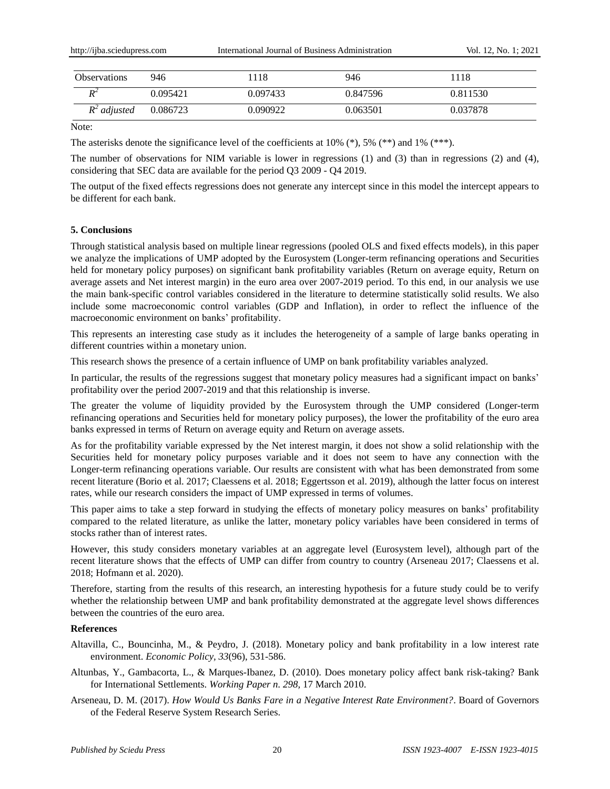| <b>Observations</b> | 946      | .118     | 946      | 1118     |
|---------------------|----------|----------|----------|----------|
| $\mathbf{D}^2$      | 0.095421 | 0.097433 | 0.847596 | 0.811530 |
| $R^2$ adjusted      | 0.086723 | 0.090922 | 0.063501 | 0.037878 |

Note:

The asterisks denote the significance level of the coefficients at 10% (\*), 5% (\*\*) and 1% (\*\*\*).

The number of observations for NIM variable is lower in regressions (1) and (3) than in regressions (2) and (4), considering that SEC data are available for the period Q3 2009 - Q4 2019.

The output of the fixed effects regressions does not generate any intercept since in this model the intercept appears to be different for each bank.

#### **5. Conclusions**

Through statistical analysis based on multiple linear regressions (pooled OLS and fixed effects models), in this paper we analyze the implications of UMP adopted by the Eurosystem (Longer-term refinancing operations and Securities held for monetary policy purposes) on significant bank profitability variables (Return on average equity, Return on average assets and Net interest margin) in the euro area over 2007-2019 period. To this end, in our analysis we use the main bank-specific control variables considered in the literature to determine statistically solid results. We also include some macroeconomic control variables (GDP and Inflation), in order to reflect the influence of the macroeconomic environment on banks" profitability.

This represents an interesting case study as it includes the heterogeneity of a sample of large banks operating in different countries within a monetary union.

This research shows the presence of a certain influence of UMP on bank profitability variables analyzed.

In particular, the results of the regressions suggest that monetary policy measures had a significant impact on banks' profitability over the period 2007-2019 and that this relationship is inverse.

The greater the volume of liquidity provided by the Eurosystem through the UMP considered (Longer-term refinancing operations and Securities held for monetary policy purposes), the lower the profitability of the euro area banks expressed in terms of Return on average equity and Return on average assets.

As for the profitability variable expressed by the Net interest margin, it does not show a solid relationship with the Securities held for monetary policy purposes variable and it does not seem to have any connection with the Longer-term refinancing operations variable. Our results are consistent with what has been demonstrated from some recent literature (Borio et al. 2017; Claessens et al. 2018; Eggertsson et al. 2019), although the latter focus on interest rates, while our research considers the impact of UMP expressed in terms of volumes.

This paper aims to take a step forward in studying the effects of monetary policy measures on banks" profitability compared to the related literature, as unlike the latter, monetary policy variables have been considered in terms of stocks rather than of interest rates.

However, this study considers monetary variables at an aggregate level (Eurosystem level), although part of the recent literature shows that the effects of UMP can differ from country to country (Arseneau 2017; Claessens et al. 2018; Hofmann et al. 2020).

Therefore, starting from the results of this research, an interesting hypothesis for a future study could be to verify whether the relationship between UMP and bank profitability demonstrated at the aggregate level shows differences between the countries of the euro area.

#### **References**

- Altavilla, C., Bouncinha, M., & Peydro, J. (2018). Monetary policy and bank profitability in a low interest rate environment. *Economic Policy, 33*(96), 531-586.
- Altunbas, Y., Gambacorta, L., & Marques-Ibanez, D. (2010). Does monetary policy affect bank risk-taking? Bank for International Settlements. *Working Paper n. 298,* 17 March 2010.
- Arseneau, D. M. (2017). *How Would Us Banks Fare in a Negative Interest Rate Environment?*. Board of Governors of the Federal Reserve System Research Series.